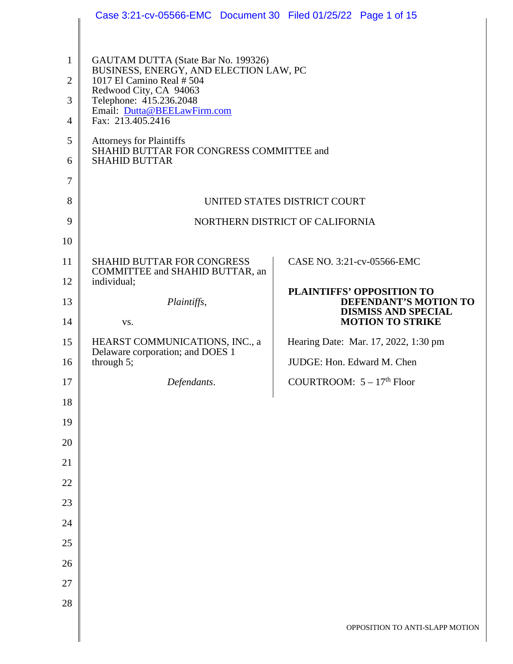|                                | Case 3:21-cv-05566-EMC Document 30 Filed 01/25/22 Page 1 of 15                                             |                                                     |  |  |  |
|--------------------------------|------------------------------------------------------------------------------------------------------------|-----------------------------------------------------|--|--|--|
|                                |                                                                                                            |                                                     |  |  |  |
| $\mathbf{1}$<br>$\overline{2}$ | GAUTAM DUTTA (State Bar No. 199326)<br>BUSINESS, ENERGY, AND ELECTION LAW, PC<br>1017 El Camino Real # 504 |                                                     |  |  |  |
|                                | Redwood City, CA 94063                                                                                     |                                                     |  |  |  |
| 3<br>$\overline{4}$            | Telephone: 415.236.2048<br>Email: Dutta@BEELawFirm.com<br>Fax: 213.405.2416                                |                                                     |  |  |  |
| 5                              | <b>Attorneys for Plaintiffs</b>                                                                            |                                                     |  |  |  |
| 6                              | SHAHID BUTTAR FOR CONGRESS COMMITTEE and<br><b>SHAHID BUTTAR</b>                                           |                                                     |  |  |  |
| $\tau$                         |                                                                                                            |                                                     |  |  |  |
| 8                              | UNITED STATES DISTRICT COURT                                                                               |                                                     |  |  |  |
| 9                              |                                                                                                            | NORTHERN DISTRICT OF CALIFORNIA                     |  |  |  |
| 10                             |                                                                                                            |                                                     |  |  |  |
| 11                             | <b>SHAHID BUTTAR FOR CONGRESS</b><br>COMMITTEE and SHAHID BUTTAR, an                                       | CASE NO. 3:21-cv-05566-EMC                          |  |  |  |
| 12                             | individual;                                                                                                | PLAINTIFFS' OPPOSITION TO                           |  |  |  |
| 13                             | Plaintiffs,                                                                                                | DEFENDANT'S MOTION TO<br><b>DISMISS AND SPECIAL</b> |  |  |  |
| 14                             | VS.                                                                                                        | <b>MOTION TO STRIKE</b>                             |  |  |  |
| 15                             | HEARST COMMUNICATIONS, INC., a<br>Delaware corporation; and DOES 1                                         | Hearing Date: Mar. 17, 2022, 1:30 pm                |  |  |  |
| 16                             | through $5$ ;                                                                                              | JUDGE: Hon. Edward M. Chen                          |  |  |  |
| 17                             | Defendants.                                                                                                | COURTROOM: $5 - 17th$ Floor                         |  |  |  |
| 18                             |                                                                                                            |                                                     |  |  |  |
| 19                             |                                                                                                            |                                                     |  |  |  |
| 20                             |                                                                                                            |                                                     |  |  |  |
| 21                             |                                                                                                            |                                                     |  |  |  |
| 22                             |                                                                                                            |                                                     |  |  |  |
| 23                             |                                                                                                            |                                                     |  |  |  |
| 24                             |                                                                                                            |                                                     |  |  |  |
| 25                             |                                                                                                            |                                                     |  |  |  |
| 26                             |                                                                                                            |                                                     |  |  |  |
| 27                             |                                                                                                            |                                                     |  |  |  |
| 28                             |                                                                                                            |                                                     |  |  |  |
|                                |                                                                                                            | OPPOSITION TO ANTI-SLAPP MOTION                     |  |  |  |
|                                |                                                                                                            |                                                     |  |  |  |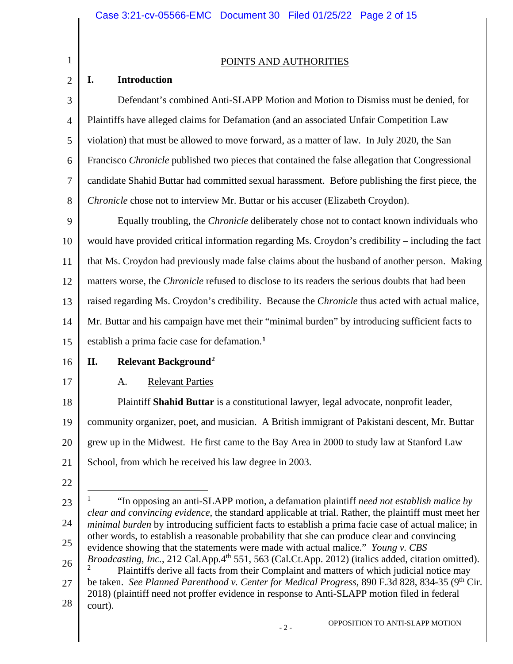$\mathbf{I}$  $\parallel$ 

<span id="page-1-1"></span><span id="page-1-0"></span>

| $\mathbf{1}$   | POINTS AND AUTHORITIES                                                                                                                                                                                      |  |  |  |
|----------------|-------------------------------------------------------------------------------------------------------------------------------------------------------------------------------------------------------------|--|--|--|
| $\overline{2}$ | <b>Introduction</b><br>I.                                                                                                                                                                                   |  |  |  |
| 3              | Defendant's combined Anti-SLAPP Motion and Motion to Dismiss must be denied, for                                                                                                                            |  |  |  |
| 4              | Plaintiffs have alleged claims for Defamation (and an associated Unfair Competition Law                                                                                                                     |  |  |  |
| 5              | violation) that must be allowed to move forward, as a matter of law. In July 2020, the San                                                                                                                  |  |  |  |
| 6              | Francisco Chronicle published two pieces that contained the false allegation that Congressional                                                                                                             |  |  |  |
| 7              | candidate Shahid Buttar had committed sexual harassment. Before publishing the first piece, the                                                                                                             |  |  |  |
| 8              | Chronicle chose not to interview Mr. Buttar or his accuser (Elizabeth Croydon).                                                                                                                             |  |  |  |
| 9              | Equally troubling, the <i>Chronicle</i> deliberately chose not to contact known individuals who                                                                                                             |  |  |  |
| 10             | would have provided critical information regarding Ms. Croydon's credibility – including the fact                                                                                                           |  |  |  |
| 11             | that Ms. Croydon had previously made false claims about the husband of another person. Making                                                                                                               |  |  |  |
| 12             | matters worse, the <i>Chronicle</i> refused to disclose to its readers the serious doubts that had been                                                                                                     |  |  |  |
| 13             | raised regarding Ms. Croydon's credibility. Because the Chronicle thus acted with actual malice,                                                                                                            |  |  |  |
| 14             | Mr. Buttar and his campaign have met their "minimal burden" by introducing sufficient facts to                                                                                                              |  |  |  |
| 15             | establish a prima facie case for defamation. <sup>1</sup>                                                                                                                                                   |  |  |  |
| 16             | Relevant Background <sup>2</sup><br>П.                                                                                                                                                                      |  |  |  |
| 17             | <b>Relevant Parties</b><br>A.                                                                                                                                                                               |  |  |  |
| 18             | Plaintiff Shahid Buttar is a constitutional lawyer, legal advocate, nonprofit leader,                                                                                                                       |  |  |  |
| 19             | community organizer, poet, and musician. A British immigrant of Pakistani descent, Mr. Buttar                                                                                                               |  |  |  |
| 20             | grew up in the Midwest. He first came to the Bay Area in 2000 to study law at Stanford Law                                                                                                                  |  |  |  |
| 21             | School, from which he received his law degree in 2003.                                                                                                                                                      |  |  |  |
| 22             |                                                                                                                                                                                                             |  |  |  |
| 23             | "In opposing an anti-SLAPP motion, a defamation plaintiff need not establish malice by                                                                                                                      |  |  |  |
| 24             | clear and convincing evidence, the standard applicable at trial. Rather, the plaintiff must meet her<br>minimal burden by introducing sufficient facts to establish a prima facie case of actual malice; in |  |  |  |
| 25             | other words, to establish a reasonable probability that she can produce clear and convincing<br>evidence showing that the statements were made with actual malice." Young v. CBS                            |  |  |  |
| 26             | Broadcasting, Inc., 212 Cal.App.4 <sup>th</sup> 551, 563 (Cal.Ct.App. 2012) (italics added, citation omitted).<br>Plaintiffs derive all facts from their Complaint and matters of which judicial notice may |  |  |  |
| 27             | be taken. See Planned Parenthood v. Center for Medical Progress, 890 F.3d 828, 834-35 (9 <sup>th</sup> Cir.                                                                                                 |  |  |  |
| 28             | 2018) (plaintiff need not proffer evidence in response to Anti-SLAPP motion filed in federal<br>court).                                                                                                     |  |  |  |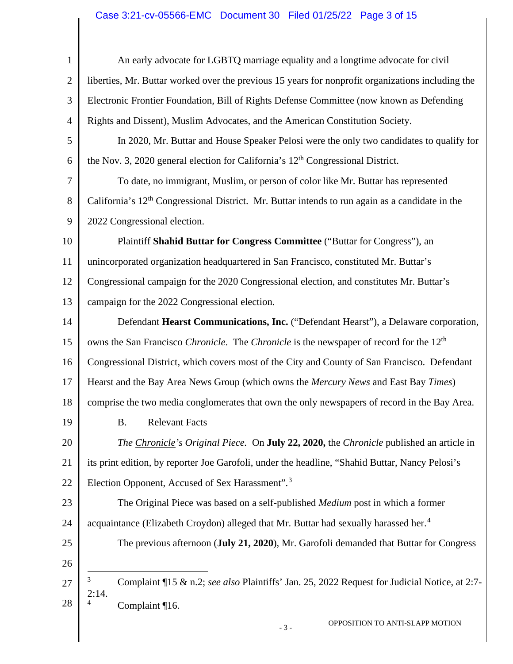## Case 3:21-cv-05566-EMC Document 30 Filed 01/25/22 Page 3 of 15

<span id="page-2-1"></span><span id="page-2-0"></span>

| $\mathbf{1}$   | An early advocate for LGBTQ marriage equality and a longtime advocate for civil                             |
|----------------|-------------------------------------------------------------------------------------------------------------|
| $\overline{2}$ | liberties, Mr. Buttar worked over the previous 15 years for nonprofit organizations including the           |
| 3              | Electronic Frontier Foundation, Bill of Rights Defense Committee (now known as Defending                    |
| $\overline{4}$ | Rights and Dissent), Muslim Advocates, and the American Constitution Society.                               |
| 5              | In 2020, Mr. Buttar and House Speaker Pelosi were the only two candidates to qualify for                    |
| 6              | the Nov. 3, 2020 general election for California's 12 <sup>th</sup> Congressional District.                 |
| 7              | To date, no immigrant, Muslim, or person of color like Mr. Buttar has represented                           |
| 8              | California's 12 <sup>th</sup> Congressional District. Mr. Buttar intends to run again as a candidate in the |
| 9              | 2022 Congressional election.                                                                                |
| 10             | Plaintiff Shahid Buttar for Congress Committee ("Buttar for Congress"), an                                  |
| 11             | unincorporated organization headquartered in San Francisco, constituted Mr. Buttar's                        |
| 12             | Congressional campaign for the 2020 Congressional election, and constitutes Mr. Buttar's                    |
| 13             | campaign for the 2022 Congressional election.                                                               |
| 14             | Defendant Hearst Communications, Inc. ("Defendant Hearst"), a Delaware corporation,                         |
| 15             | owns the San Francisco Chronicle. The Chronicle is the newspaper of record for the 12 <sup>th</sup>         |
| 16             | Congressional District, which covers most of the City and County of San Francisco. Defendant                |
| 17             | Hearst and the Bay Area News Group (which owns the Mercury News and East Bay Times)                         |
| 18             | comprise the two media conglomerates that own the only newspapers of record in the Bay Area.                |
| 19             | <b>B.</b> Relevant Facts                                                                                    |
| 20             | The Chronicle's Original Piece. On July 22, 2020, the Chronicle published an article in                     |
| 21             | its print edition, by reporter Joe Garofoli, under the headline, "Shahid Buttar, Nancy Pelosi's             |
| 22             | Election Opponent, Accused of Sex Harassment". <sup>3</sup>                                                 |
| 23             | The Original Piece was based on a self-published <i>Medium</i> post in which a former                       |
| 24             | acquaintance (Elizabeth Croydon) alleged that Mr. Buttar had sexually harassed her. <sup>4</sup>            |
| 25             | The previous afternoon (July 21, 2020), Mr. Garofoli demanded that Buttar for Congress                      |
| 26             |                                                                                                             |
| 27             | 3<br>Complaint ¶15 & n.2; see also Plaintiffs' Jan. 25, 2022 Request for Judicial Notice, at 2:7-<br>2:14.  |
| 28             | Complaint ¶16.                                                                                              |
|                | OPPOSITION TO ANTI-SLAPP MOTION<br>$-3-$                                                                    |
|                |                                                                                                             |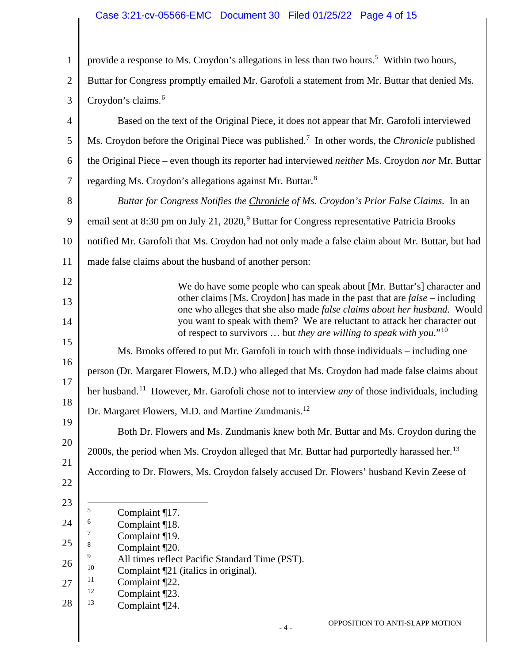## Case 3:21-cv-05566-EMC Document 30 Filed 01/25/22 Page 4 of 15

<span id="page-3-8"></span><span id="page-3-7"></span><span id="page-3-6"></span><span id="page-3-5"></span><span id="page-3-4"></span><span id="page-3-3"></span><span id="page-3-2"></span><span id="page-3-1"></span><span id="page-3-0"></span>

| $\mathbf{1}$   | provide a response to Ms. Croydon's allegations in less than two hours. <sup>5</sup> Within two hours,                                                       |  |  |  |
|----------------|--------------------------------------------------------------------------------------------------------------------------------------------------------------|--|--|--|
| $\mathfrak{2}$ | Buttar for Congress promptly emailed Mr. Garofoli a statement from Mr. Buttar that denied Ms.                                                                |  |  |  |
| 3              | Croydon's claims. <sup>6</sup>                                                                                                                               |  |  |  |
| $\overline{4}$ | Based on the text of the Original Piece, it does not appear that Mr. Garofoli interviewed                                                                    |  |  |  |
| 5              | Ms. Croydon before the Original Piece was published. <sup>7</sup> In other words, the <i>Chronicle</i> published                                             |  |  |  |
| 6              | the Original Piece – even though its reporter had interviewed <i>neither</i> Ms. Croydon nor Mr. Buttar                                                      |  |  |  |
| $\overline{7}$ | regarding Ms. Croydon's allegations against Mr. Buttar. <sup>8</sup>                                                                                         |  |  |  |
| 8              | Buttar for Congress Notifies the Chronicle of Ms. Croydon's Prior False Claims. In an                                                                        |  |  |  |
| 9              | email sent at 8:30 pm on July 21, 2020, <sup>9</sup> Buttar for Congress representative Patricia Brooks                                                      |  |  |  |
| 10             | notified Mr. Garofoli that Ms. Croydon had not only made a false claim about Mr. Buttar, but had                                                             |  |  |  |
| 11             | made false claims about the husband of another person:                                                                                                       |  |  |  |
| 12             | We do have some people who can speak about [Mr. Buttar's] character and                                                                                      |  |  |  |
| 13             | other claims [Ms. Croydon] has made in the past that are $false$ – including<br>one who alleges that she also made false claims about her husband. Would     |  |  |  |
| 14             | you want to speak with them? We are reluctant to attack her character out<br>of respect to survivors  but they are willing to speak with you." <sup>10</sup> |  |  |  |
| 15<br>16       | Ms. Brooks offered to put Mr. Garofoli in touch with those individuals – including one                                                                       |  |  |  |
| 17             | person (Dr. Margaret Flowers, M.D.) who alleged that Ms. Croydon had made false claims about                                                                 |  |  |  |
| 18             | her husband. <sup>11</sup> However, Mr. Garofoli chose not to interview <i>any</i> of those individuals, including                                           |  |  |  |
| 19             | Dr. Margaret Flowers, M.D. and Martine Zundmanis. <sup>12</sup>                                                                                              |  |  |  |
| 20             | Both Dr. Flowers and Ms. Zundmanis knew both Mr. Buttar and Ms. Croydon during the                                                                           |  |  |  |
| 21             | 2000s, the period when Ms. Croydon alleged that Mr. Buttar had purportedly harassed her. <sup>13</sup>                                                       |  |  |  |
| 22             | According to Dr. Flowers, Ms. Croydon falsely accused Dr. Flowers' husband Kevin Zeese of                                                                    |  |  |  |
| 23             |                                                                                                                                                              |  |  |  |
| 24             | 5<br>Complaint ¶17.<br>6<br>Complaint ¶18.                                                                                                                   |  |  |  |
| 25             | 7<br>Complaint ¶19.<br>8                                                                                                                                     |  |  |  |
| 26             | Complaint [20.<br>9<br>All times reflect Pacific Standard Time (PST).                                                                                        |  |  |  |
| 27             | 10<br>Complaint [21] (italics in original).<br>11<br>Complaint ¶22.                                                                                          |  |  |  |
| 28             | 12<br>Complaint ¶23.<br>13<br>Complaint ¶24.                                                                                                                 |  |  |  |
|                | OPPOSITION TO ANTI-SLAPP MOTION<br>$-4-$                                                                                                                     |  |  |  |
|                |                                                                                                                                                              |  |  |  |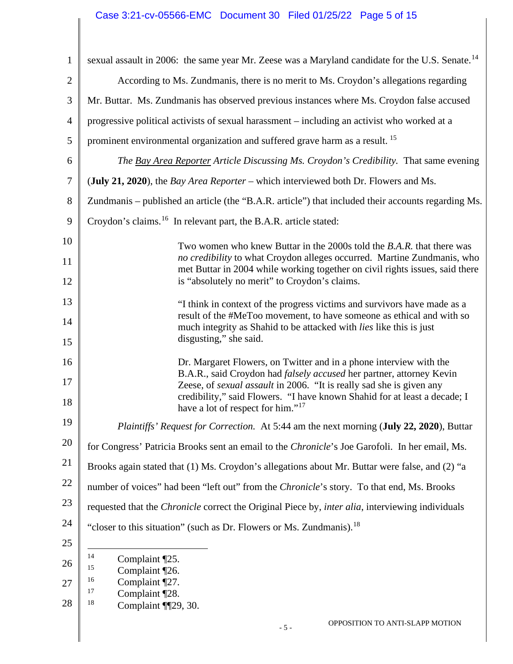## Case 3:21-cv-05566-EMC Document 30 Filed 01/25/22 Page 5 of 15

<span id="page-4-4"></span><span id="page-4-3"></span><span id="page-4-2"></span><span id="page-4-1"></span><span id="page-4-0"></span>

| $\mathbf{1}$   | sexual assault in 2006: the same year Mr. Zeese was a Maryland candidate for the U.S. Senate. <sup>14</sup>                                             |  |  |
|----------------|---------------------------------------------------------------------------------------------------------------------------------------------------------|--|--|
| $\overline{2}$ | According to Ms. Zundmanis, there is no merit to Ms. Croydon's allegations regarding                                                                    |  |  |
| 3              | Mr. Buttar. Ms. Zundmanis has observed previous instances where Ms. Croydon false accused                                                               |  |  |
| $\overline{4}$ | progressive political activists of sexual harassment – including an activist who worked at a                                                            |  |  |
|                |                                                                                                                                                         |  |  |
| 5              | prominent environmental organization and suffered grave harm as a result. <sup>15</sup>                                                                 |  |  |
| 6              | The Bay Area Reporter Article Discussing Ms. Croydon's Credibility. That same evening                                                                   |  |  |
| $\overline{7}$ | (July 21, 2020), the <i>Bay Area Reporter</i> – which interviewed both Dr. Flowers and Ms.                                                              |  |  |
| 8              | Zundmanis – published an article (the "B.A.R. article") that included their accounts regarding Ms.                                                      |  |  |
| 9              | Croydon's claims. <sup>16</sup> In relevant part, the B.A.R. article stated:                                                                            |  |  |
| 10             | Two women who knew Buttar in the 2000s told the B.A.R. that there was                                                                                   |  |  |
| 11             | no credibility to what Croydon alleges occurred. Martine Zundmanis, who<br>met Buttar in 2004 while working together on civil rights issues, said there |  |  |
| 12             | is "absolutely no merit" to Croydon's claims.                                                                                                           |  |  |
| 13             | "I think in context of the progress victims and survivors have made as a                                                                                |  |  |
| 14             | result of the #MeToo movement, to have someone as ethical and with so<br>much integrity as Shahid to be attacked with <i>lies</i> like this is just     |  |  |
| 15             | disgusting," she said.                                                                                                                                  |  |  |
| 16             | Dr. Margaret Flowers, on Twitter and in a phone interview with the                                                                                      |  |  |
| 17             | B.A.R., said Croydon had falsely accused her partner, attorney Kevin<br>Zeese, of <i>sexual assault</i> in 2006. "It is really sad she is given any     |  |  |
| 18             | credibility," said Flowers. "I have known Shahid for at least a decade; I<br>have a lot of respect for him." <sup>17</sup>                              |  |  |
| 19             | Plaintiffs' Request for Correction. At 5:44 am the next morning (July 22, 2020), Buttar                                                                 |  |  |
| 20             | for Congress' Patricia Brooks sent an email to the Chronicle's Joe Garofoli. In her email, Ms.                                                          |  |  |
| 21             |                                                                                                                                                         |  |  |
| 22             | Brooks again stated that (1) Ms. Croydon's allegations about Mr. Buttar were false, and (2) "a                                                          |  |  |
| 23             | number of voices" had been "left out" from the Chronicle's story. To that end, Ms. Brooks                                                               |  |  |
| 24             | requested that the <i>Chronicle</i> correct the Original Piece by, <i>inter alia</i> , interviewing individuals                                         |  |  |
|                | "closer to this situation" (such as Dr. Flowers or Ms. Zundmanis). <sup>18</sup>                                                                        |  |  |
| 25             | 14<br>Complaint [25.                                                                                                                                    |  |  |
| 26             | 15<br>Complaint [26.<br>16                                                                                                                              |  |  |
| 27             | Complaint [27.<br>17<br>Complaint [28.                                                                                                                  |  |  |
| 28             | 18<br>Complaint ¶129, 30.                                                                                                                               |  |  |
|                | OPPOSITION TO ANTI-SLAPP MOTION<br>$-5-$                                                                                                                |  |  |
|                |                                                                                                                                                         |  |  |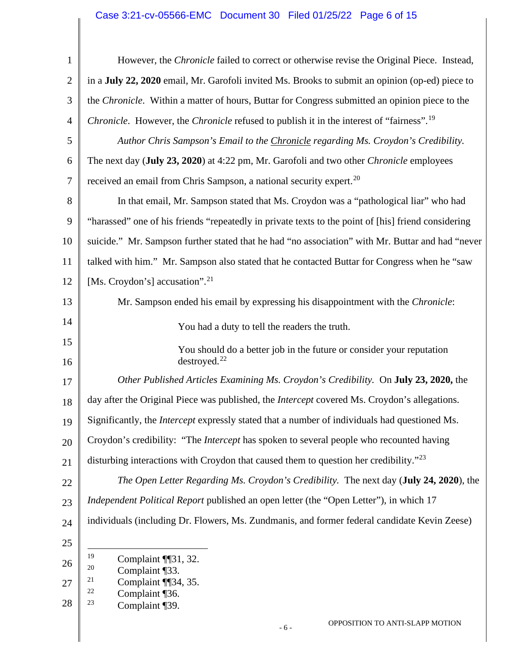## Case 3:21-cv-05566-EMC Document 30 Filed 01/25/22 Page 6 of 15

<span id="page-5-4"></span><span id="page-5-3"></span><span id="page-5-2"></span><span id="page-5-1"></span><span id="page-5-0"></span>

| $\mathbf{1}$   | However, the <i>Chronicle</i> failed to correct or otherwise revise the Original Piece. Instead,                   |
|----------------|--------------------------------------------------------------------------------------------------------------------|
| $\overline{2}$ | in a July 22, 2020 email, Mr. Garofoli invited Ms. Brooks to submit an opinion (op-ed) piece to                    |
| 3              | the <i>Chronicle</i> . Within a matter of hours, Buttar for Congress submitted an opinion piece to the             |
| $\overline{4}$ | <i>Chronicle.</i> However, the <i>Chronicle</i> refused to publish it in the interest of "fairness". <sup>19</sup> |
| 5              | Author Chris Sampson's Email to the Chronicle regarding Ms. Croydon's Credibility.                                 |
| 6              | The next day (July 23, 2020) at 4:22 pm, Mr. Garofoli and two other <i>Chronicle</i> employees                     |
| 7              | received an email from Chris Sampson, a national security expert. <sup>20</sup>                                    |
| 8              | In that email, Mr. Sampson stated that Ms. Croydon was a "pathological liar" who had                               |
| 9              | "harassed" one of his friends "repeatedly in private texts to the point of [his] friend considering                |
| 10             | suicide." Mr. Sampson further stated that he had "no association" with Mr. Buttar and had "never                   |
| 11             | talked with him." Mr. Sampson also stated that he contacted Buttar for Congress when he "saw                       |
| 12             | [Ms. Croydon's] accusation". <sup>21</sup>                                                                         |
| 13             | Mr. Sampson ended his email by expressing his disappointment with the Chronicle:                                   |
| 14             |                                                                                                                    |
| 15             | You had a duty to tell the readers the truth.                                                                      |
| 16             | You should do a better job in the future or consider your reputation<br>destroyed. $^{22}$                         |
| 17             | Other Published Articles Examining Ms. Croydon's Credibility. On July 23, 2020, the                                |
| 18             | day after the Original Piece was published, the <i>Intercept</i> covered Ms. Croydon's allegations.                |
| 19             | Significantly, the <i>Intercept</i> expressly stated that a number of individuals had questioned Ms.               |
| 20             | Croydon's credibility: "The Intercept has spoken to several people who recounted having                            |
| 21             | disturbing interactions with Croydon that caused them to question her credibility." <sup>23</sup>                  |
| 22             | The Open Letter Regarding Ms. Croydon's Credibility. The next day (July 24, 2020), the                             |
| 23             | Independent Political Report published an open letter (the "Open Letter"), in which 17                             |
| 24             | individuals (including Dr. Flowers, Ms. Zundmanis, and former federal candidate Kevin Zeese)                       |
| 25             |                                                                                                                    |
| 26             | 19<br>Complaint ¶131, 32.<br>20<br>Complaint ¶33.                                                                  |
| 27             | 21<br>Complaint ¶134, 35.                                                                                          |
| 28             | 22<br>Complaint ¶36.<br>23<br>Complaint [39.                                                                       |
|                | OPPOSITION TO ANTI-SLAPP MOTION<br>$-6-$                                                                           |
|                |                                                                                                                    |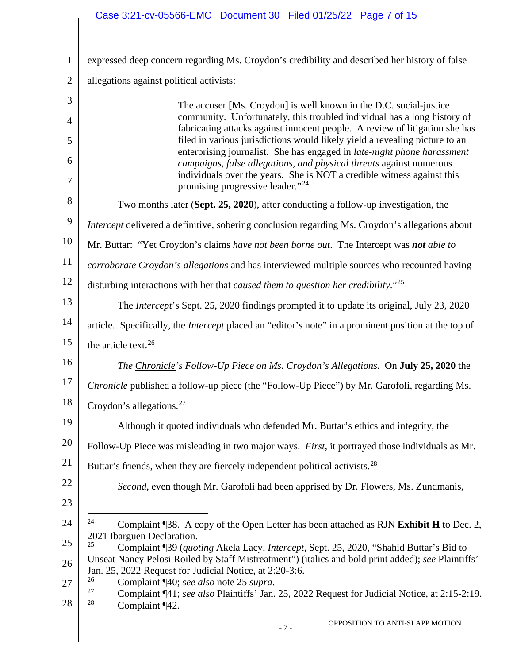## Case 3:21-cv-05566-EMC Document 30 Filed 01/25/22 Page 7 of 15

<span id="page-6-4"></span><span id="page-6-3"></span><span id="page-6-2"></span><span id="page-6-1"></span><span id="page-6-0"></span>

| $\mathbf{1}$   | expressed deep concern regarding Ms. Croydon's credibility and described her history of false                                                                 |
|----------------|---------------------------------------------------------------------------------------------------------------------------------------------------------------|
| $\overline{2}$ | allegations against political activists:                                                                                                                      |
| 3              | The accuser [Ms. Croydon] is well known in the D.C. social-justice                                                                                            |
| $\overline{4}$ | community. Unfortunately, this troubled individual has a long history of<br>fabricating attacks against innocent people. A review of litigation she has       |
| 5              | filed in various jurisdictions would likely yield a revealing picture to an<br>enterprising journalist. She has engaged in <i>late-night phone harassment</i> |
| 6              | campaigns, false allegations, and physical threats against numerous<br>individuals over the years. She is NOT a credible witness against this                 |
| 7              | promising progressive leader."24                                                                                                                              |
| 8              | Two months later (Sept. 25, 2020), after conducting a follow-up investigation, the                                                                            |
| 9              | Intercept delivered a definitive, sobering conclusion regarding Ms. Croydon's allegations about                                                               |
| 10             | Mr. Buttar: "Yet Croydon's claims have not been borne out. The Intercept was not able to                                                                      |
| 11             | corroborate Croydon's allegations and has interviewed multiple sources who recounted having                                                                   |
| 12             | disturbing interactions with her that caused them to question her credibility." <sup>25</sup>                                                                 |
| 13             | The <i>Intercept</i> 's Sept. 25, 2020 findings prompted it to update its original, July 23, 2020                                                             |
| 14             | article. Specifically, the <i>Intercept</i> placed an "editor's note" in a prominent position at the top of                                                   |
| 15             | the article text. <sup>26</sup>                                                                                                                               |
| 16             | <i>The Chronicle's Follow-Up Piece on Ms. Croydon's Allegations.</i> On <b>July 25, 2020</b> the                                                              |
| 17             | Chronicle published a follow-up piece (the "Follow-Up Piece") by Mr. Garofoli, regarding Ms.                                                                  |
| 18             | Croydon's allegations. <sup>27</sup>                                                                                                                          |
| 19             | Although it quoted individuals who defended Mr. Buttar's ethics and integrity, the                                                                            |
| 20             | Follow-Up Piece was misleading in two major ways. First, it portrayed those individuals as Mr.                                                                |
| 21             | Buttar's friends, when they are fiercely independent political activists. <sup>28</sup>                                                                       |
| 22             | Second, even though Mr. Garofoli had been apprised by Dr. Flowers, Ms. Zundmanis,                                                                             |
| 23             |                                                                                                                                                               |
| 24             | 24<br>Complaint ¶38. A copy of the Open Letter has been attached as RJN Exhibit H to Dec. 2,                                                                  |
| 25             | 2021 Ibarguen Declaration.<br>25<br>Complaint ¶39 (quoting Akela Lacy, Intercept, Sept. 25, 2020, "Shahid Buttar's Bid to                                     |
| 26             | Unseat Nancy Pelosi Roiled by Staff Mistreatment") (italics and bold print added); see Plaintiffs'<br>Jan. 25, 2022 Request for Judicial Notice, at 2:20-3:6. |
| 27             | 26<br>Complaint ¶40; see also note 25 supra.<br>27                                                                                                            |
| 28             | Complaint ¶41; see also Plaintiffs' Jan. 25, 2022 Request for Judicial Notice, at 2:15-2:19.<br>28<br>Complaint ¶42.                                          |
|                | OPPOSITION TO ANTI-SLAPP MOTION<br>$-7-$                                                                                                                      |
|                |                                                                                                                                                               |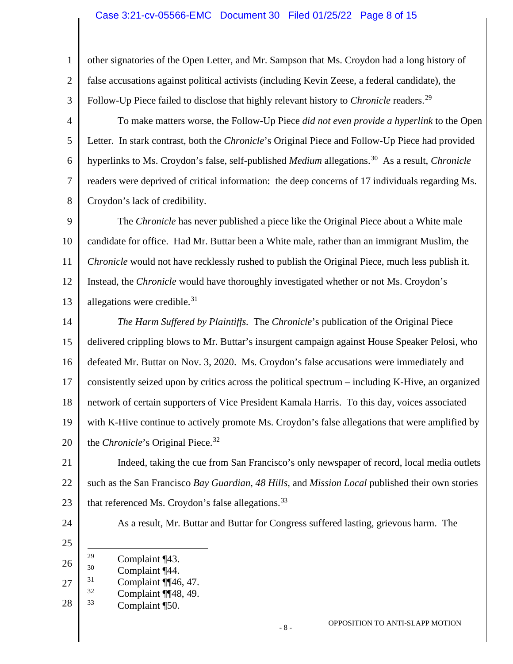#### Case 3:21-cv-05566-EMC Document 30 Filed 01/25/22 Page 8 of 15

<span id="page-7-4"></span><span id="page-7-3"></span><span id="page-7-2"></span><span id="page-7-1"></span><span id="page-7-0"></span>1 2 3 4 5 6 7 8 9 10 11 12 13 14 15 16 17 18 19 20 21 22 23 24 25 26 27 28 other signatories of the Open Letter, and Mr. Sampson that Ms. Croydon had a long history of false accusations against political activists (including Kevin Zeese, a federal candidate), the Follow-Up Piece failed to disclose that highly relevant history to *Chronicle* readers.<sup>[29](#page-7-0)</sup> To make matters worse, the Follow-Up Piece *did not even provide a hyperlink* to the Open Letter. In stark contrast, both the *Chronicle*'s Original Piece and Follow-Up Piece had provided hyperlinks to Ms. Croydon's false, self-published *Medium* allegations.<sup>[30](#page-7-1)</sup> As a result, *Chronicle* readers were deprived of critical information: the deep concerns of 17 individuals regarding Ms. Croydon's lack of credibility. The *Chronicle* has never published a piece like the Original Piece about a White male candidate for office. Had Mr. Buttar been a White male, rather than an immigrant Muslim, the *Chronicle* would not have recklessly rushed to publish the Original Piece, much less publish it. Instead, the *Chronicle* would have thoroughly investigated whether or not Ms. Croydon's allegations were credible. $31$ *The Harm Suffered by Plaintiffs.* The *Chronicle*'s publication of the Original Piece delivered crippling blows to Mr. Buttar's insurgent campaign against House Speaker Pelosi, who defeated Mr. Buttar on Nov. 3, 2020. Ms. Croydon's false accusations were immediately and consistently seized upon by critics across the political spectrum – including K-Hive, an organized network of certain supporters of Vice President Kamala Harris. To this day, voices associated with K-Hive continue to actively promote Ms. Croydon's false allegations that were amplified by the *Chronicle*'s Original Piece.<sup>[32](#page-7-3)</sup> Indeed, taking the cue from San Francisco's only newspaper of record, local media outlets such as the San Francisco *Bay Guardian*, *48 Hills*, and *Mission Local* published their own stories that referenced Ms. Croydon's false allegations.  $33$ As a result, Mr. Buttar and Buttar for Congress suffered lasting, grievous harm. The <sup>29</sup> Complaint ¶43.<br>
Complaint ¶44.  $rac{30}{31}$  Complaint ¶44.  $\frac{31}{32}$  Complaint ¶[46, 47.  $\frac{32}{33}$  Complaint ¶48, 49. Complaint ¶50.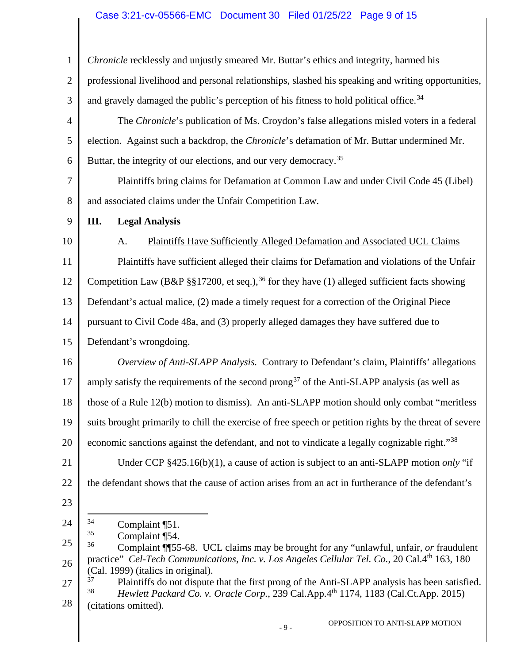## Case 3:21-cv-05566-EMC Document 30 Filed 01/25/22 Page 9 of 15

<span id="page-8-4"></span><span id="page-8-3"></span><span id="page-8-2"></span><span id="page-8-1"></span><span id="page-8-0"></span>

| $\mathbf{1}$   | Chronicle recklessly and unjustly smeared Mr. Buttar's ethics and integrity, harmed his                                             |
|----------------|-------------------------------------------------------------------------------------------------------------------------------------|
| $\overline{2}$ | professional livelihood and personal relationships, slashed his speaking and writing opportunities,                                 |
| 3              | and gravely damaged the public's perception of his fitness to hold political office. <sup>34</sup>                                  |
| $\overline{4}$ | The Chronicle's publication of Ms. Croydon's false allegations misled voters in a federal                                           |
| 5              | election. Against such a backdrop, the Chronicle's defamation of Mr. Buttar undermined Mr.                                          |
| 6              | Buttar, the integrity of our elections, and our very democracy. <sup>35</sup>                                                       |
| $\overline{7}$ | Plaintiffs bring claims for Defamation at Common Law and under Civil Code 45 (Libel)                                                |
| 8              | and associated claims under the Unfair Competition Law.                                                                             |
| 9              | <b>Legal Analysis</b><br>III.                                                                                                       |
| 10             | Plaintiffs Have Sufficiently Alleged Defamation and Associated UCL Claims<br>A.                                                     |
| 11             | Plaintiffs have sufficient alleged their claims for Defamation and violations of the Unfair                                         |
| 12             | Competition Law (B&P §§17200, et seq.), <sup>36</sup> for they have (1) alleged sufficient facts showing                            |
| 13             | Defendant's actual malice, (2) made a timely request for a correction of the Original Piece                                         |
| 14             | pursuant to Civil Code 48a, and (3) properly alleged damages they have suffered due to                                              |
| 15             | Defendant's wrongdoing.                                                                                                             |
| 16             | Overview of Anti-SLAPP Analysis. Contrary to Defendant's claim, Plaintiffs' allegations                                             |
| 17             | amply satisfy the requirements of the second prong <sup>37</sup> of the Anti-SLAPP analysis (as well as                             |
| 18             | those of a Rule 12(b) motion to dismiss). An anti-SLAPP motion should only combat "meritless                                        |
| 19             | suits brought primarily to chill the exercise of free speech or petition rights by the threat of severe                             |
| 20             | economic sanctions against the defendant, and not to vindicate a legally cognizable right."38                                       |
| 21             | Under CCP $§425.16(b)(1)$ , a cause of action is subject to an anti-SLAPP motion <i>only</i> "if                                    |
| 22             | the defendant shows that the cause of action arises from an act in furtherance of the defendant's                                   |
| 23             |                                                                                                                                     |
| 24             | 34<br>Complaint [51.                                                                                                                |
| 25             | 35<br>Complaint ¶54.<br>36<br>Complaint ¶ 55-68. UCL claims may be brought for any "unlawful, unfair, or fraudulent                 |
| 26             | practice" Cel-Tech Communications, Inc. v. Los Angeles Cellular Tel. Co., 20 Cal.4th 163, 180<br>(Cal. 1999) (italics in original). |
| 27             | 37<br>Plaintiffs do not dispute that the first prong of the Anti-SLAPP analysis has been satisfied.<br>38                           |
| 28             | Hewlett Packard Co. v. Oracle Corp., 239 Cal.App.4th 1174, 1183 (Cal.Ct.App. 2015)<br>(citations omitted).                          |
|                | OPPOSITION TO ANTI-SLAPP MOTION<br>$-9-$                                                                                            |
|                |                                                                                                                                     |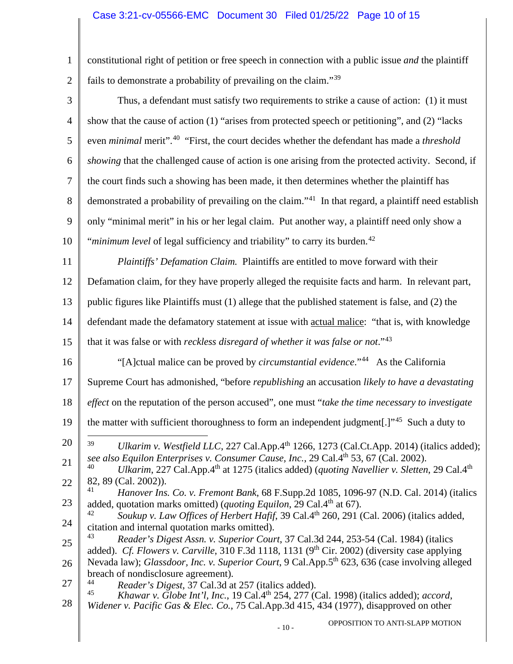# Case 3:21-cv-05566-EMC Document 30 Filed 01/25/22 Page 10 of 15

<span id="page-9-6"></span><span id="page-9-5"></span><span id="page-9-4"></span><span id="page-9-3"></span><span id="page-9-2"></span><span id="page-9-1"></span><span id="page-9-0"></span>

| $\mathbf{1}$   | constitutional right of petition or free speech in connection with a public issue <i>and</i> the plaintiff                                                                                                                   |
|----------------|------------------------------------------------------------------------------------------------------------------------------------------------------------------------------------------------------------------------------|
| $\overline{2}$ | fails to demonstrate a probability of prevailing on the claim." <sup>39</sup>                                                                                                                                                |
| 3              | Thus, a defendant must satisfy two requirements to strike a cause of action: (1) it must                                                                                                                                     |
| 4              | show that the cause of action (1) "arises from protected speech or petitioning", and (2) "lacks                                                                                                                              |
| 5              | even <i>minimal</i> merit". <sup>40</sup> "First, the court decides whether the defendant has made a <i>threshold</i>                                                                                                        |
| 6              | <i>showing</i> that the challenged cause of action is one arising from the protected activity. Second, if                                                                                                                    |
| $\tau$         | the court finds such a showing has been made, it then determines whether the plaintiff has                                                                                                                                   |
| 8              | demonstrated a probability of prevailing on the claim." <sup>41</sup> In that regard, a plaintiff need establish                                                                                                             |
| 9              | only "minimal merit" in his or her legal claim. Put another way, a plaintiff need only show a                                                                                                                                |
| 10             | " <i>minimum level</i> of legal sufficiency and triability" to carry its burden. <sup>42</sup>                                                                                                                               |
| 11             | Plaintiffs' Defamation Claim. Plaintiffs are entitled to move forward with their                                                                                                                                             |
| 12             | Defamation claim, for they have properly alleged the requisite facts and harm. In relevant part,                                                                                                                             |
| 13             | public figures like Plaintiffs must (1) allege that the published statement is false, and (2) the                                                                                                                            |
| 14             | defendant made the defamatory statement at issue with actual malice: "that is, with knowledge                                                                                                                                |
| 15             | that it was false or with <i>reckless disregard of whether it was false or not</i> ." <sup>43</sup>                                                                                                                          |
| 16             | "[A]ctual malice can be proved by <i>circumstantial evidence</i> ." <sup>44</sup> As the California                                                                                                                          |
| 17             | Supreme Court has admonished, "before republishing an accusation likely to have a devastating                                                                                                                                |
| 18             | effect on the reputation of the person accused", one must "take the time necessary to investigate                                                                                                                            |
| 19             | the matter with sufficient thoroughness to form an independent judgment[.]" <sup>45</sup> Such a duty to                                                                                                                     |
| 20             | 39<br>Ulkarim v. Westfield LLC, 227 Cal.App. $4th$ 1266, 1273 (Cal.Ct.App. 2014) (italics added);                                                                                                                            |
| 21             | see also Equilon Enterprises v. Consumer Cause, Inc., 29 Cal.4 <sup>th</sup> 53, 67 (Cal. 2002).<br>40<br>Ulkarim, 227 Cal.App.4 <sup>th</sup> at 1275 (italics added) (quoting Navellier v. Sletten, 29 Cal.4 <sup>th</sup> |
| 22             | 82, 89 (Cal. 2002)).<br>41<br>Hanover Ins. Co. v. Fremont Bank, 68 F.Supp.2d 1085, 1096-97 (N.D. Cal. 2014) (italics                                                                                                         |
| 23             | added, quotation marks omitted) ( <i>quoting Equilon</i> , 29 Cal.4 <sup>th</sup> at 67).<br>42<br>Soukup v. Law Offices of Herbert Hafif, 39 Cal.4 <sup>th</sup> 260, 291 (Cal. 2006) (italics added,                       |
| 24             | citation and internal quotation marks omitted).                                                                                                                                                                              |
| 25             | 43<br>Reader's Digest Assn. v. Superior Court, 37 Cal.3d 244, 253-54 (Cal. 1984) (italics<br>added). Cf. Flowers v. Carville, 310 F.3d 1118, 1131 ( $9th$ Cir. 2002) (diversity case applying                                |
| 26             | Nevada law); Glassdoor, Inc. v. Superior Court, 9 Cal.App.5 <sup>th</sup> 623, 636 (case involving alleged<br>breach of nondisclosure agreement).                                                                            |
| 27             | 44<br>Reader's Digest, 37 Cal.3d at 257 (italics added).<br>45<br>Khawar v. Globe Int'l, Inc., 19 Cal.4 <sup>th</sup> 254, 277 (Cal. 1998) (italics added); accord,                                                          |
| 28             | Widener v. Pacific Gas & Elec. Co., 75 Cal.App.3d 415, 434 (1977), disapproved on other                                                                                                                                      |
|                | OPPOSITION TO ANTI-SLAPP MOTION<br>$-10-$                                                                                                                                                                                    |
|                |                                                                                                                                                                                                                              |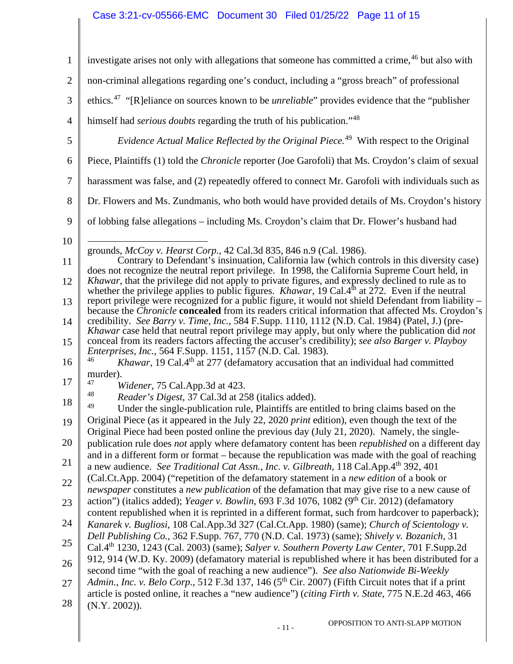# Case 3:21-cv-05566-EMC Document 30 Filed 01/25/22 Page 11 of 15

<span id="page-10-3"></span><span id="page-10-2"></span><span id="page-10-1"></span><span id="page-10-0"></span>

| $\mathbf{1}$   | investigate arises not only with allegations that someone has committed a crime, <sup>46</sup> but also with                                                                                                           |
|----------------|------------------------------------------------------------------------------------------------------------------------------------------------------------------------------------------------------------------------|
| $\overline{2}$ | non-criminal allegations regarding one's conduct, including a "gross breach" of professional                                                                                                                           |
| 3              | ethics. <sup>47</sup> "[R]eliance on sources known to be <i>unreliable</i> " provides evidence that the "publisher"                                                                                                    |
| $\overline{4}$ | himself had serious doubts regarding the truth of his publication." <sup>48</sup>                                                                                                                                      |
| 5              | Evidence Actual Malice Reflected by the Original Piece. <sup>49</sup> With respect to the Original                                                                                                                     |
| 6              | Piece, Plaintiffs (1) told the <i>Chronicle</i> reporter (Joe Garofoli) that Ms. Croydon's claim of sexual                                                                                                             |
| $\overline{7}$ | harassment was false, and (2) repeatedly offered to connect Mr. Garofoli with individuals such as                                                                                                                      |
| 8              | Dr. Flowers and Ms. Zundmanis, who both would have provided details of Ms. Croydon's history                                                                                                                           |
| 9              | of lobbing false allegations – including Ms. Croydon's claim that Dr. Flower's husband had                                                                                                                             |
| 10             |                                                                                                                                                                                                                        |
| 11             | grounds, McCoy v. Hearst Corp., 42 Cal.3d 835, 846 n.9 (Cal. 1986).<br>Contrary to Defendant's insinuation, California law (which controls in this diversity case)                                                     |
| 12             | does not recognize the neutral report privilege. In 1998, the California Supreme Court held, in<br>Khawar, that the privilege did not apply to private figures, and expressly declined to rule as to                   |
| 13             | whether the privilege applies to public figures. <i>Khawar</i> , 19 Cal. $4th$ at 272. Even if the neutral<br>report privilege were recognized for a public figure, it would not shield Defendant from liability –     |
| 14             | because the <i>Chronicle</i> concealed from its readers critical information that affected Ms. Croydon's<br>credibility. See Barry v. Time, Inc., 584 F.Supp. 1110, 1112 (N.D. Cal. 1984) (Patel, J.) (pre-            |
| 15             | Khawar case held that neutral report privilege may apply, but only where the publication did not<br>conceal from its readers factors affecting the accuser's credibility); see also Barger v. Playboy                  |
| 16             | <i>Enterprises, Inc., 564 F.Supp. 1151, 1157 (N.D. Cal. 1983).</i><br>46<br>Khawar, 19 Cal.4 <sup>th</sup> at 277 (defamatory accusation that an individual had committed                                              |
| 17             | murder).<br>47                                                                                                                                                                                                         |
|                | Widener, 75 Cal.App.3d at 423.<br>48<br>Reader's Digest, 37 Cal.3d at 258 (italics added).                                                                                                                             |
| 18             | 49<br>Under the single-publication rule, Plaintiffs are entitled to bring claims based on the                                                                                                                          |
| 19             | Original Piece (as it appeared in the July 22, 2020 print edition), even though the text of the<br>Original Piece had been posted online the previous day (July 21, 2020). Namely, the single-                         |
| 20             | publication rule does not apply where defamatory content has been <i>republished</i> on a different day                                                                                                                |
| 21             | and in a different form or format – because the republication was made with the goal of reaching<br>a new audience. See Traditional Cat Assn., Inc. v. Gilbreath, 118 Cal.App.4th 392, 401                             |
| 22             | (Cal.Ct.App. 2004) ("repetition of the defamatory statement in a new edition of a book or                                                                                                                              |
| 23             | <i>newspaper</i> constitutes a <i>new publication</i> of the defamation that may give rise to a new cause of<br>action") (italics added); <i>Yeager v. Bowlin</i> , 693 F.3d 1076, 1082 ( $9th$ Cir. 2012) (defamatory |
|                | content republished when it is reprinted in a different format, such from hardcover to paperback);                                                                                                                     |
| 24             | Kanarek v. Bugliosi, 108 Cal.App.3d 327 (Cal.Ct.App. 1980) (same); Church of Scientology v.<br>Dell Publishing Co., 362 F.Supp. 767, 770 (N.D. Cal. 1973) (same); Shively v. Bozanich, 31                              |
| 25             | Cal.4 <sup>th</sup> 1230, 1243 (Cal. 2003) (same); Salyer v. Southern Poverty Law Center, 701 F.Supp.2d                                                                                                                |
| 26             | 912, 914 (W.D. Ky. 2009) (defamatory material is republished where it has been distributed for a<br>second time "with the goal of reaching a new audience"). See also Nationwide Bi-Weekly                             |
| 27             | Admin., Inc. v. Belo Corp., 512 F.3d 137, 146 (5 <sup>th</sup> Cir. 2007) (Fifth Circuit notes that if a print                                                                                                         |
| 28             | article is posted online, it reaches a "new audience") (citing Firth v. State, 775 N.E.2d 463, 466<br>$(N.Y. 2002)$ ).                                                                                                 |
|                |                                                                                                                                                                                                                        |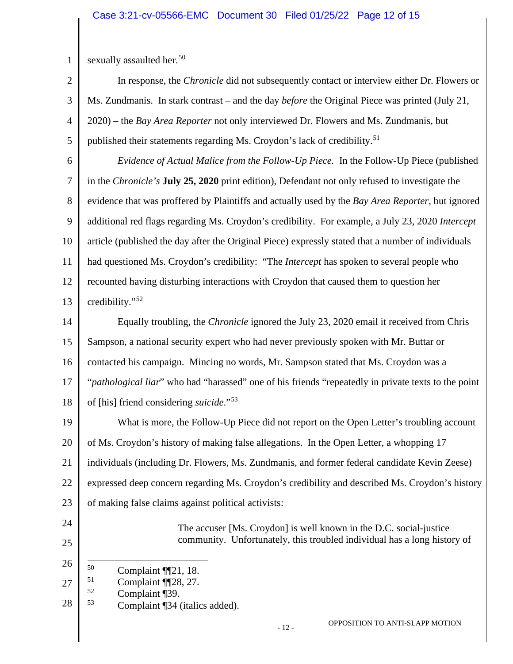| sexually assaulted her. <sup>50</sup> |  |  |  |  |  |
|---------------------------------------|--|--|--|--|--|
|---------------------------------------|--|--|--|--|--|

2 3 4 5 In response, the *Chronicle* did not subsequently contact or interview either Dr. Flowers or Ms. Zundmanis. In stark contrast – and the day *before* the Original Piece was printed (July 21, 2020) – the *Bay Area Reporter* not only interviewed Dr. Flowers and Ms. Zundmanis, but published their statements regarding Ms. Croydon's lack of credibility.<sup>[51](#page-11-1)</sup>

6 7 8 9 10 11 12 13 *Evidence of Actual Malice from the Follow-Up Piece.* In the Follow-Up Piece (published in the *Chronicle's* **July 25, 2020** print edition), Defendant not only refused to investigate the evidence that was proffered by Plaintiffs and actually used by the *Bay Area Reporter*, but ignored additional red flags regarding Ms. Croydon's credibility. For example, a July 23, 2020 *Intercept*  article (published the day after the Original Piece) expressly stated that a number of individuals had questioned Ms. Croydon's credibility: "The *Intercept* has spoken to several people who recounted having disturbing interactions with Croydon that caused them to question her credibility."[52](#page-11-2)

14 15 16 17 18 Equally troubling, the *Chronicle* ignored the July 23, 2020 email it received from Chris Sampson, a national security expert who had never previously spoken with Mr. Buttar or contacted his campaign. Mincing no words, Mr. Sampson stated that Ms. Croydon was a "*pathological liar*" who had "harassed" one of his friends "repeatedly in private texts to the point of [his] friend considering *suicide*."[53](#page-11-3)

19 20 21 22 23 What is more, the Follow-Up Piece did not report on the Open Letter's troubling account of Ms. Croydon's history of making false allegations. In the Open Letter, a whopping 17 individuals (including Dr. Flowers, Ms. Zundmanis, and former federal candidate Kevin Zeese) expressed deep concern regarding Ms. Croydon's credibility and described Ms. Croydon's history of making false claims against political activists:

24

25

The accuser [Ms. Croydon] is well known in the D.C. social-justice community. Unfortunately, this troubled individual has a long history of

- <span id="page-11-0"></span>26  $^{50}$  Complaint ¶[21, 18.
- <span id="page-11-1"></span>27  $^{51}$  Complaint ¶28, 27.
- $\frac{52}{53}$  Complaint [39.
- <span id="page-11-3"></span><span id="page-11-2"></span>28 Complaint ¶34 (italics added).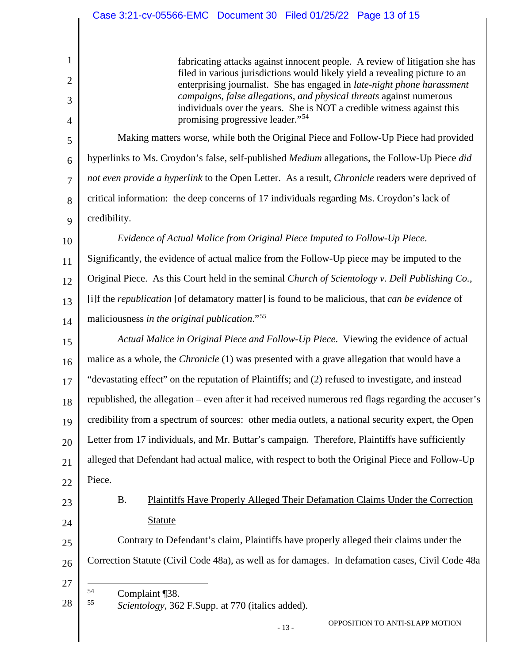fabricating attacks against innocent people. A review of litigation she has filed in various jurisdictions would likely yield a revealing picture to an enterprising journalist. She has engaged in *late-night phone harassment campaigns, false allegations, and physical threats* against numerous individuals over the years. She is NOT a credible witness against this promising progressive leader."[54](#page-12-0)

5 6 7 8 9 Making matters worse, while both the Original Piece and Follow-Up Piece had provided hyperlinks to Ms. Croydon's false, self-published *Medium* allegations, the Follow-Up Piece *did not even provide a hyperlink* to the Open Letter. As a result, *Chronicle* readers were deprived of critical information: the deep concerns of 17 individuals regarding Ms. Croydon's lack of credibility.

10 11 12 13 14 *Evidence of Actual Malice from Original Piece Imputed to Follow-Up Piece*. Significantly, the evidence of actual malice from the Follow-Up piece may be imputed to the Original Piece. As this Court held in the seminal *Church of Scientology v. Dell Publishing Co.*, [i]f the *republication* [of defamatory matter] is found to be malicious, that *can be evidence* of maliciousness *in the original publication*."[55](#page-12-1)

15 16 17 18 19 20 21 22 *Actual Malice in Original Piece and Follow-Up Piece*. Viewing the evidence of actual malice as a whole, the *Chronicle* (1) was presented with a grave allegation that would have a "devastating effect" on the reputation of Plaintiffs; and (2) refused to investigate, and instead republished, the allegation – even after it had received numerous red flags regarding the accuser's credibility from a spectrum of sources: other media outlets, a national security expert, the Open Letter from 17 individuals, and Mr. Buttar's campaign. Therefore, Plaintiffs have sufficiently alleged that Defendant had actual malice, with respect to both the Original Piece and Follow-Up Piece.

23

24

1

2

3

4

B. Plaintiffs Have Properly Alleged Their Defamation Claims Under the Correction Statute

25 26 Contrary to Defendant's claim, Plaintiffs have properly alleged their claims under the Correction Statute (Civil Code 48a), as well as for damages. In defamation cases, Civil Code 48a

27

<span id="page-12-1"></span><span id="page-12-0"></span><sup>28</sup>   $\frac{54}{55}$  Complaint [38.] 55 *Scientology*, 362 F.Supp. at 770 (italics added).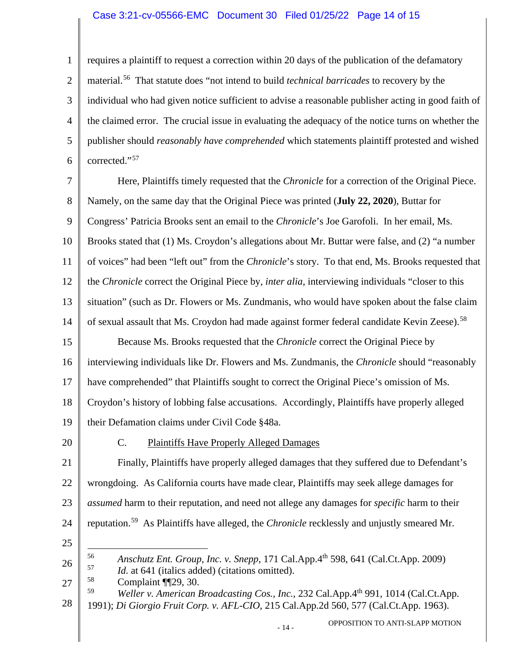#### Case 3:21-cv-05566-EMC Document 30 Filed 01/25/22 Page 14 of 15

1 2 3 4 5 6 requires a plaintiff to request a correction within 20 days of the publication of the defamatory material.[56](#page-13-0) That statute does "not intend to build *technical barricades* to recovery by the individual who had given notice sufficient to advise a reasonable publisher acting in good faith of the claimed error. The crucial issue in evaluating the adequacy of the notice turns on whether the publisher should *reasonably have comprehended* which statements plaintiff protested and wished corrected."[57](#page-13-1)

7 8 9 10 11 12 13 14 15 16 17 18 19 20 Here, Plaintiffs timely requested that the *Chronicle* for a correction of the Original Piece. Namely, on the same day that the Original Piece was printed (**July 22, 2020**), Buttar for Congress' Patricia Brooks sent an email to the *Chronicle*'s Joe Garofoli. In her email, Ms. Brooks stated that (1) Ms. Croydon's allegations about Mr. Buttar were false, and (2) "a number of voices" had been "left out" from the *Chronicle*'s story. To that end, Ms. Brooks requested that the *Chronicle* correct the Original Piece by, *inter alia*, interviewing individuals "closer to this situation" (such as Dr. Flowers or Ms. Zundmanis, who would have spoken about the false claim of sexual assault that Ms. Croydon had made against former federal candidate Kevin Zeese).<sup>[58](#page-13-2)</sup> Because Ms. Brooks requested that the *Chronicle* correct the Original Piece by interviewing individuals like Dr. Flowers and Ms. Zundmanis, the *Chronicle* should "reasonably have comprehended" that Plaintiffs sought to correct the Original Piece's omission of Ms. Croydon's history of lobbing false accusations. Accordingly, Plaintiffs have properly alleged their Defamation claims under Civil Code §48a. C. Plaintiffs Have Properly Alleged Damages

21 22 23 24 25 Finally, Plaintiffs have properly alleged damages that they suffered due to Defendant's wrongdoing. As California courts have made clear, Plaintiffs may seek allege damages for *assumed* harm to their reputation, and need not allege any damages for *specific* harm to their reputation.[59](#page-13-3) As Plaintiffs have alleged, the *Chronicle* recklessly and unjustly smeared Mr.

<span id="page-13-1"></span><span id="page-13-0"></span>26 56 *Anschutz Ent. Group, Inc. v. Snepp*, 171 Cal.App.4th 598, 641 (Cal.Ct.App. 2009) <sup>57</sup>*Id.* at 641 (italics added) (citations omitted).<br><sup>58</sup> Complaint ¶¶29, 30.<br><sup>59</sup> Wellery American Broadcasting Cos. Inc.

<span id="page-13-3"></span><span id="page-13-2"></span>27 28 59 *Weller v. American Broadcasting Cos., Inc.*, 232 Cal.App.4th 991, 1014 (Cal.Ct.App. 1991); *Di Giorgio Fruit Corp. v. AFL-CIO*, 215 Cal.App.2d 560, 577 (Cal.Ct.App. 1963).